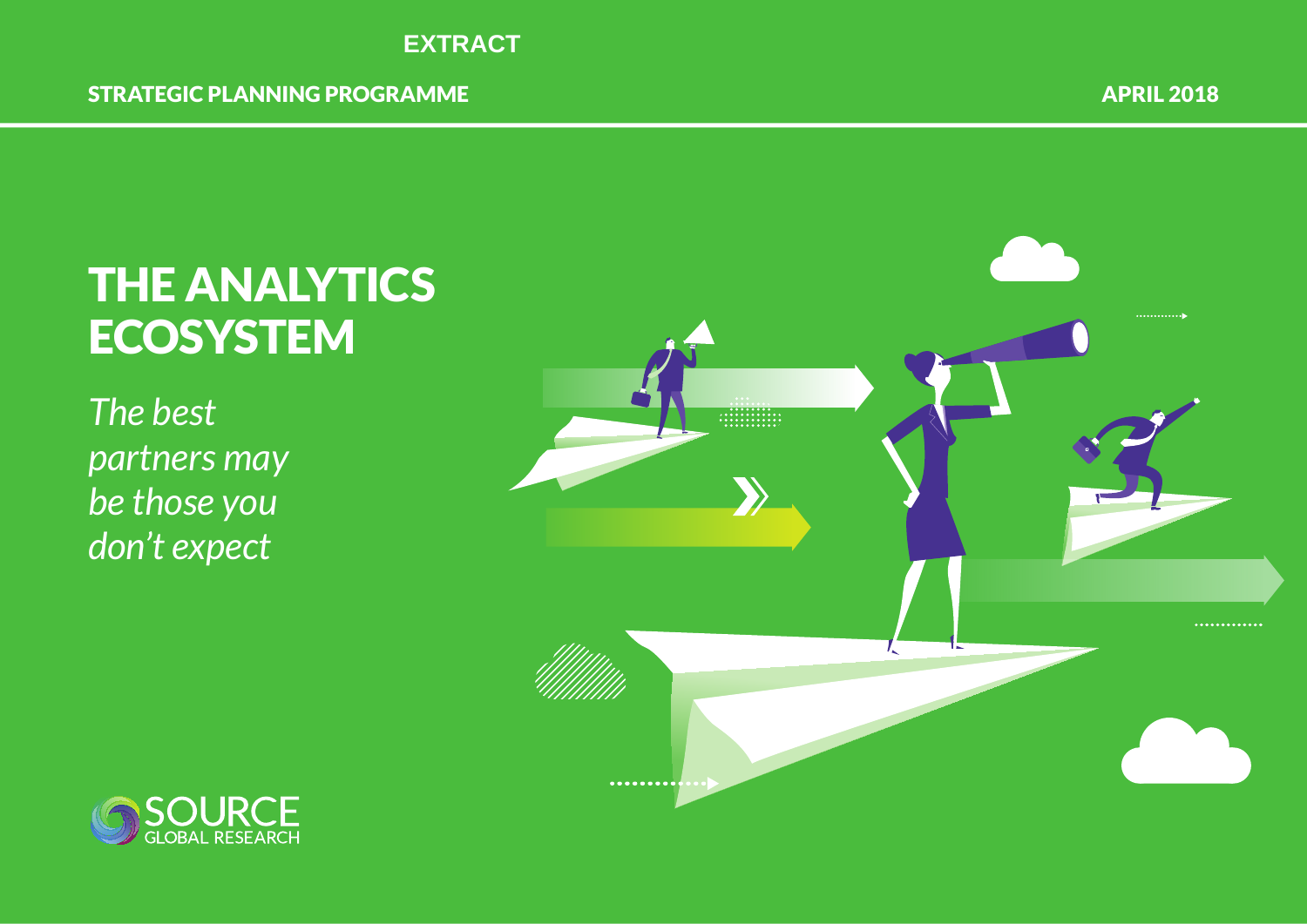

## THE ANALYTICS **ECOSYSTEM**

*The best partners may be those you don't expect*



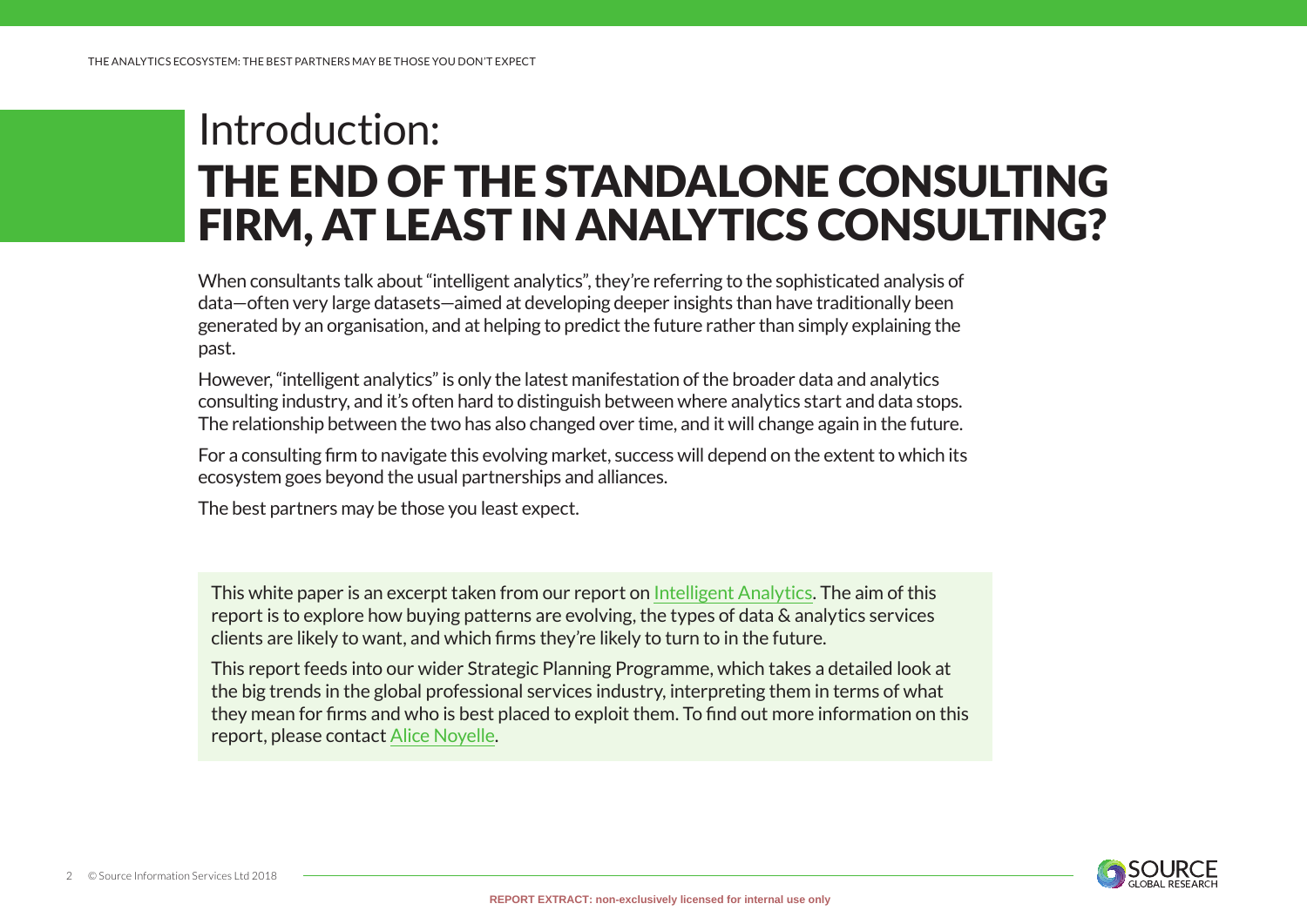## Introduction: THE END OF THE STANDALONE CONSULTING FIRM, AT LEAST IN ANALYTICS CONSULTING?

When consultants talk about "intelligent analytics", they're referring to the sophisticated analysis of data—often very large datasets—aimed at developing deeper insights than have traditionally been generated by an organisation, and at helping to predict the future rather than simply explaining the past.

However, "intelligent analytics" is only the latest manifestation of the broader data and analytics consulting industry, and it's often hard to distinguish between where analytics start and data stops. The relationship between the two has also changed over time, and it will change again in the future.

For a consulting firm to navigate this evolving market, success will depend on the extent to which its ecosystem goes beyond the usual partnerships and alliances.

The best partners may be those you least expect.

This white paper is an excerpt taken from our report on [Intelligent Analytics](https://www.sourceglobalresearch.com/report/4089/megatrend-1-intelligent-analytics-in-2018). The aim of this report is to explore how buying patterns are evolving, the types of data & analytics services clients are likely to want, and which firms they're likely to turn to in the future.

This report feeds into our wider Strategic Planning Programme, which takes a detailed look at the big trends in the global professional services industry, interpreting them in terms of what they mean for firms and who is best placed to exploit them. To find out more information on this report, please contact [Alice Noyelle.](mailto:alice.noyelle%40sourceglobalresearch.com?subject=)